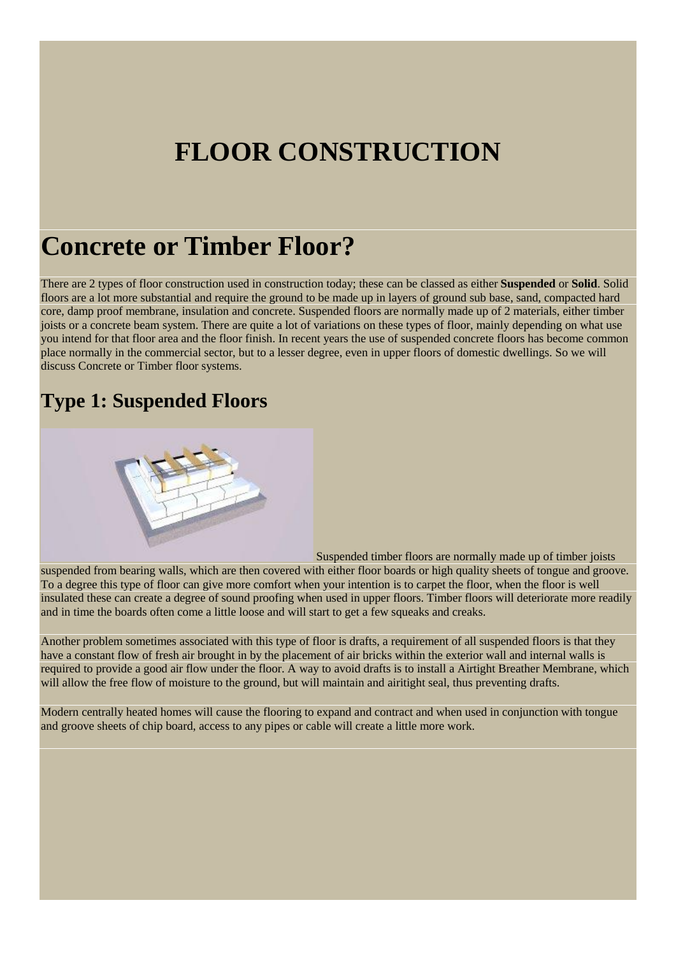# **FLOOR CONSTRUCTION**

# **Concrete or Timber Floor?**

There are 2 types of floor construction used in construction today; these can be classed as either **Suspended** or **Solid**. Solid floors are a lot more substantial and require the ground to be made up in layers of ground sub base, sand, compacted hard core, damp proof membrane, insulation and concrete. Suspended floors are normally made up of 2 materials, either timber joists or a concrete beam system. There are quite a lot of variations on these types of floor, mainly depending on what use you intend for that floor area and the floor finish. In recent years the use of suspended concrete floors has become common place normally in the commercial sector, but to a lesser degree, even in upper floors of domestic dwellings. So we will discuss Concrete or Timber floor systems.

### **Type 1: Suspended Floors**



Suspended timber floors are normally made up of timber joists

suspended from bearing walls, which are then covered with either floor boards or high quality sheets of tongue and groove. To a degree this type of floor can give more comfort when your intention is to carpet the floor, when the floor is well insulated these can create a degree of sound proofing when used in upper floors. Timber floors will deteriorate more readily and in time the boards often come a little loose and will start to get a few squeaks and creaks.

Another problem sometimes associated with this type of floor is drafts, a requirement of all suspended floors is that they have a constant flow of fresh air brought in by the placement of air bricks within the exterior wall and internal walls is required to provide a good air flow under the floor. A way to avoid drafts is to install a Airtight Breather Membrane, which will allow the free flow of moisture to the ground, but will maintain and airitight seal, thus preventing drafts.

Modern centrally heated homes will cause the flooring to expand and contract and when used in conjunction with tongue and groove sheets of chip board, access to any pipes or cable will create a little more work.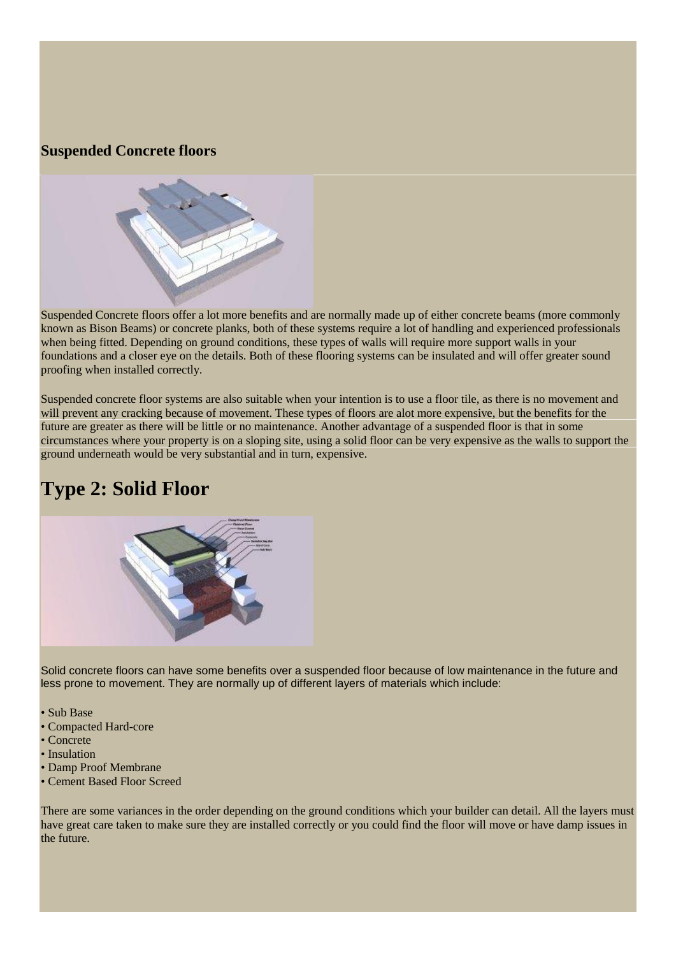#### **Suspended Concrete floors**



Suspended Concrete floors offer a lot more benefits and are normally made up of either concrete beams (more commonly known as Bison Beams) or concrete planks, both of these systems require a lot of handling and experienced professionals when being fitted. Depending on ground conditions, these types of walls will require more support walls in your foundations and a closer eye on the details. Both of these flooring systems can be insulated and will offer greater sound proofing when installed correctly.

Suspended concrete floor systems are also suitable when your intention is to use a floor tile, as there is no movement and will prevent any cracking because of movement. These types of floors are alot more expensive, but the benefits for the future are greater as there will be little or no maintenance. Another advantage of a suspended floor is that in some circumstances where your property is on a sloping site, using a solid floor can be very expensive as the walls to support the ground underneath would be very substantial and in turn, expensive.

## **Type 2: Solid Floor**



Solid concrete floors can have some benefits over a suspended floor because of low maintenance in the future and less prone to movement. They are normally up of different layers of materials which include:

• Sub Base

- Compacted Hard-core
- Concrete
- Insulation
- Damp Proof Membrane
- Cement Based Floor Screed

There are some variances in the order depending on the ground conditions which your builder can detail. All the layers must have great care taken to make sure they are installed correctly or you could find the floor will move or have damp issues in the future.